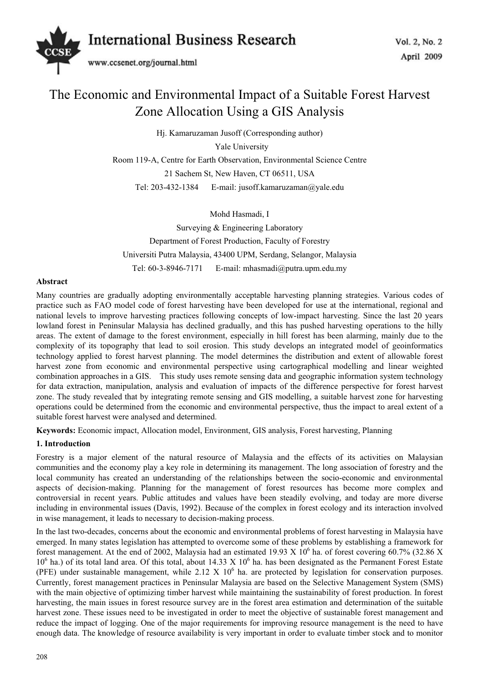

# The Economic and Environmental Impact of a Suitable Forest Harvest Zone Allocation Using a GIS Analysis

Hj. Kamaruzaman Jusoff (Corresponding author)

Yale University

Room 119-A, Centre for Earth Observation, Environmental Science Centre

21 Sachem St, New Haven, CT 06511, USA

Tel: 203-432-1384 E-mail: jusoff.kamaruzaman@yale.edu

Mohd Hasmadi, I

Surveying & Engineering Laboratory Department of Forest Production, Faculty of Forestry Universiti Putra Malaysia, 43400 UPM, Serdang, Selangor, Malaysia Tel: 60-3-8946-7171 E-mail: mhasmadi@putra.upm.edu.my

# **Abstract**

Many countries are gradually adopting environmentally acceptable harvesting planning strategies. Various codes of practice such as FAO model code of forest harvesting have been developed for use at the international, regional and national levels to improve harvesting practices following concepts of low-impact harvesting. Since the last 20 years lowland forest in Peninsular Malaysia has declined gradually, and this has pushed harvesting operations to the hilly areas. The extent of damage to the forest environment, especially in hill forest has been alarming, mainly due to the complexity of its topography that lead to soil erosion. This study develops an integrated model of geoinformatics technology applied to forest harvest planning. The model determines the distribution and extent of allowable forest harvest zone from economic and environmental perspective using cartographical modelling and linear weighted combination approaches in a GIS. This study uses remote sensing data and geographic information system technology for data extraction, manipulation, analysis and evaluation of impacts of the difference perspective for forest harvest zone. The study revealed that by integrating remote sensing and GIS modelling, a suitable harvest zone for harvesting operations could be determined from the economic and environmental perspective, thus the impact to areal extent of a suitable forest harvest were analysed and determined.

**Keywords:** Economic impact, Allocation model, Environment, GIS analysis, Forest harvesting, Planning

### **1. Introduction**

Forestry is a major element of the natural resource of Malaysia and the effects of its activities on Malaysian communities and the economy play a key role in determining its management. The long association of forestry and the local community has created an understanding of the relationships between the socio-economic and environmental aspects of decision-making. Planning for the management of forest resources has become more complex and controversial in recent years. Public attitudes and values have been steadily evolving, and today are more diverse including in environmental issues (Davis, 1992). Because of the complex in forest ecology and its interaction involved in wise management, it leads to necessary to decision-making process.

In the last two-decades, concerns about the economic and environmental problems of forest harvesting in Malaysia have emerged. In many states legislation has attempted to overcome some of these problems by establishing a framework for forest management. At the end of 2002, Malaysia had an estimated 19.93 X  $10^6$  ha. of forest covering 60.7% (32.86 X  $10^6$  ha.) of its total land area. Of this total, about 14.33 X  $10^6$  ha. has been designated as the Permanent Forest Estate (PFE) under sustainable management, while 2.12 X  $10^6$  ha. are protected by legislation for conservation purposes. Currently, forest management practices in Peninsular Malaysia are based on the Selective Management System (SMS) with the main objective of optimizing timber harvest while maintaining the sustainability of forest production. In forest harvesting, the main issues in forest resource survey are in the forest area estimation and determination of the suitable harvest zone. These issues need to be investigated in order to meet the objective of sustainable forest management and reduce the impact of logging. One of the major requirements for improving resource management is the need to have enough data. The knowledge of resource availability is very important in order to evaluate timber stock and to monitor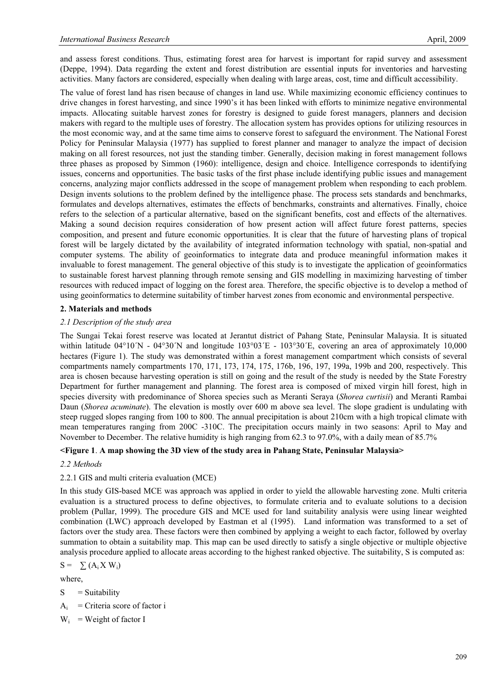and assess forest conditions. Thus, estimating forest area for harvest is important for rapid survey and assessment (Deppe, 1994). Data regarding the extent and forest distribution are essential inputs for inventories and harvesting activities. Many factors are considered, especially when dealing with large areas, cost, time and difficult accessibility.

The value of forest land has risen because of changes in land use. While maximizing economic efficiency continues to drive changes in forest harvesting, and since 1990's it has been linked with efforts to minimize negative environmental impacts. Allocating suitable harvest zones for forestry is designed to guide forest managers, planners and decision makers with regard to the multiple uses of forestry. The allocation system has provides options for utilizing resources in the most economic way, and at the same time aims to conserve forest to safeguard the environment. The National Forest Policy for Peninsular Malaysia (1977) has supplied to forest planner and manager to analyze the impact of decision making on all forest resources, not just the standing timber. Generally, decision making in forest management follows three phases as proposed by Simmon (1960): intelligence, design and choice. Intelligence corresponds to identifying issues, concerns and opportunities. The basic tasks of the first phase include identifying public issues and management concerns, analyzing major conflicts addressed in the scope of management problem when responding to each problem. Design invents solutions to the problem defined by the intelligence phase. The process sets standards and benchmarks, formulates and develops alternatives, estimates the effects of benchmarks, constraints and alternatives. Finally, choice refers to the selection of a particular alternative, based on the significant benefits, cost and effects of the alternatives. Making a sound decision requires consideration of how present action will affect future forest patterns, species composition, and present and future economic opportunities. It is clear that the future of harvesting plans of tropical forest will be largely dictated by the availability of integrated information technology with spatial, non-spatial and computer systems. The ability of geoinformatics to integrate data and produce meaningful information makes it invaluable to forest management. The general objective of this study is to investigate the application of geoinformatics to sustainable forest harvest planning through remote sensing and GIS modelling in maximizing harvesting of timber resources with reduced impact of logging on the forest area. Therefore, the specific objective is to develop a method of using geoinformatics to determine suitability of timber harvest zones from economic and environmental perspective.

### **2. Materials and methods**

#### *2.1 Description of the study area*

The Sungai Tekai forest reserve was located at Jerantut district of Pahang State, Peninsular Malaysia. It is situated within latitude 04°10´N - 04°30´N and longitude 103°03´E - 103°30´E, covering an area of approximately 10,000 hectares (Figure 1). The study was demonstrated within a forest management compartment which consists of several compartments namely compartments 170, 171, 173, 174, 175, 176b, 196, 197, 199a, 199b and 200, respectively. This area is chosen because harvesting operation is still on going and the result of the study is needed by the State Forestry Department for further management and planning. The forest area is composed of mixed virgin hill forest, high in species diversity with predominance of Shorea species such as Meranti Seraya (*Shorea curtisii*) and Meranti Rambai Daun (*Shorea acuminate*). The elevation is mostly over 600 m above sea level. The slope gradient is undulating with steep rugged slopes ranging from 100 to 800. The annual precipitation is about 210cm with a high tropical climate with mean temperatures ranging from 200C -310C. The precipitation occurs mainly in two seasons: April to May and November to December. The relative humidity is high ranging from 62.3 to 97.0%, with a daily mean of 85.7%

#### **<Figure 1**. **A map showing the 3D view of the study area in Pahang State, Peninsular Malaysia>**

#### *2.2 Methods*

### 2.2.1 GIS and multi criteria evaluation (MCE)

In this study GIS-based MCE was approach was applied in order to yield the allowable harvesting zone. Multi criteria evaluation is a structured process to define objectives, to formulate criteria and to evaluate solutions to a decision problem (Pullar, 1999). The procedure GIS and MCE used for land suitability analysis were using linear weighted combination (LWC) approach developed by Eastman et al (1995). Land information was transformed to a set of factors over the study area. These factors were then combined by applying a weight to each factor, followed by overlay summation to obtain a suitability map. This map can be used directly to satisfy a single objective or multiple objective analysis procedure applied to allocate areas according to the highest ranked objective. The suitability, S is computed as:

$$
S = \sum (A_i X W_i)
$$

where,

- $S =$  Suitability
- $A_i$  = Criteria score of factor i
- $W_i$  = Weight of factor I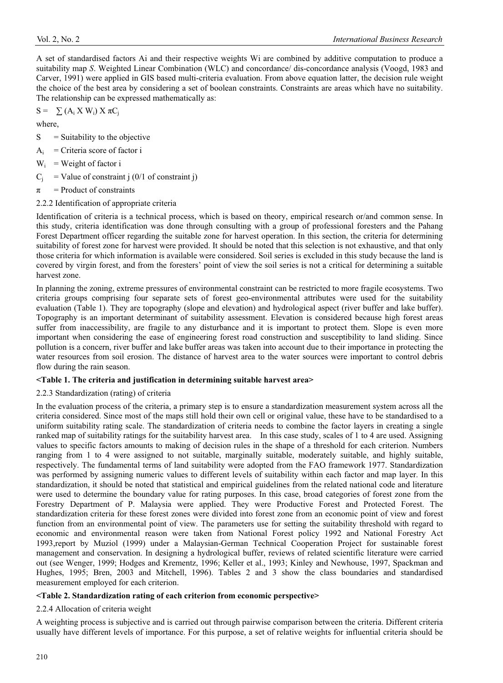$S = \sum (A_i X W_i) X \pi C_i$ 

where,

- $S =$  Suitability to the objective
- $A_i$  = Criteria score of factor i
- $W_i$  = Weight of factor i
- $C_i$  = Value of constraint j (0/1 of constraint j)
- $\pi$  = Product of constraints
- 2.2.2 Identification of appropriate criteria

Identification of criteria is a technical process, which is based on theory, empirical research or/and common sense. In this study, criteria identification was done through consulting with a group of professional foresters and the Pahang Forest Department officer regarding the suitable zone for harvest operation. In this section, the criteria for determining suitability of forest zone for harvest were provided. It should be noted that this selection is not exhaustive, and that only those criteria for which information is available were considered. Soil series is excluded in this study because the land is covered by virgin forest, and from the foresters' point of view the soil series is not a critical for determining a suitable harvest zone.

In planning the zoning, extreme pressures of environmental constraint can be restricted to more fragile ecosystems. Two criteria groups comprising four separate sets of forest geo-environmental attributes were used for the suitability evaluation (Table 1). They are topography (slope and elevation) and hydrological aspect (river buffer and lake buffer). Topography is an important determinant of suitability assessment. Elevation is considered because high forest areas suffer from inaccessibility, are fragile to any disturbance and it is important to protect them. Slope is even more important when considering the ease of engineering forest road construction and susceptibility to land sliding. Since pollution is a concern, river buffer and lake buffer areas was taken into account due to their importance in protecting the water resources from soil erosion. The distance of harvest area to the water sources were important to control debris flow during the rain season.

# **<Table 1. The criteria and justification in determining suitable harvest area>**

# 2.2.3 Standardization (rating) of criteria

In the evaluation process of the criteria, a primary step is to ensure a standardization measurement system across all the criteria considered. Since most of the maps still hold their own cell or original value, these have to be standardised to a uniform suitability rating scale. The standardization of criteria needs to combine the factor layers in creating a single ranked map of suitability ratings for the suitability harvest area. In this case study, scales of 1 to 4 are used. Assigning values to specific factors amounts to making of decision rules in the shape of a threshold for each criterion. Numbers ranging from 1 to 4 were assigned to not suitable, marginally suitable, moderately suitable, and highly suitable, respectively. The fundamental terms of land suitability were adopted from the FAO framework 1977. Standardization was performed by assigning numeric values to different levels of suitability within each factor and map layer. In this standardization, it should be noted that statistical and empirical guidelines from the related national code and literature were used to determine the boundary value for rating purposes. In this case, broad categories of forest zone from the Forestry Department of P. Malaysia were applied. They were Productive Forest and Protected Forest. The standardization criteria for these forest zones were divided into forest zone from an economic point of view and forest function from an environmental point of view. The parameters use for setting the suitability threshold with regard to economic and environmental reason were taken from National Forest policy 1992 and National Forestry Act 1993,report by Muziol (1999) under a Malaysian-German Technical Cooperation Project for sustainable forest management and conservation. In designing a hydrological buffer, reviews of related scientific literature were carried out (see Wenger, 1999; Hodges and Krementz, 1996; Keller et al., 1993; Kinley and Newhouse, 1997, Spackman and Hughes, 1995; Bren, 2003 and Mitchell, 1996). Tables 2 and 3 show the class boundaries and standardised measurement employed for each criterion.

# **<Table 2. Standardization rating of each criterion from economic perspective>**

# 2.2.4 Allocation of criteria weight

A weighting process is subjective and is carried out through pairwise comparison between the criteria. Different criteria usually have different levels of importance. For this purpose, a set of relative weights for influential criteria should be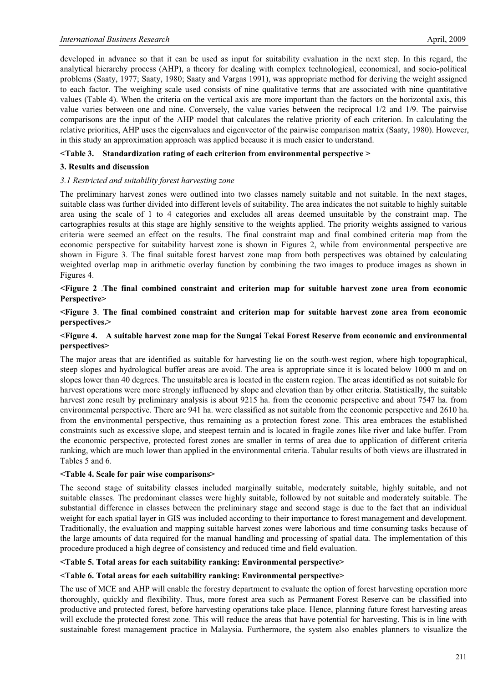developed in advance so that it can be used as input for suitability evaluation in the next step. In this regard, the analytical hierarchy process (AHP), a theory for dealing with complex technological, economical, and socio-political problems (Saaty, 1977; Saaty, 1980; Saaty and Vargas 1991), was appropriate method for deriving the weight assigned to each factor. The weighing scale used consists of nine qualitative terms that are associated with nine quantitative values (Table 4). When the criteria on the vertical axis are more important than the factors on the horizontal axis, this value varies between one and nine. Conversely, the value varies between the reciprocal 1/2 and 1/9. The pairwise comparisons are the input of the AHP model that calculates the relative priority of each criterion. In calculating the relative priorities, AHP uses the eigenvalues and eigenvector of the pairwise comparison matrix (Saaty, 1980). However, in this study an approximation approach was applied because it is much easier to understand.

## **<Table 3. Standardization rating of each criterion from environmental perspective >**

## **3. Results and discussion**

## *3.1 Restricted and suitability forest harvesting zone*

The preliminary harvest zones were outlined into two classes namely suitable and not suitable. In the next stages, suitable class was further divided into different levels of suitability. The area indicates the not suitable to highly suitable area using the scale of 1 to 4 categories and excludes all areas deemed unsuitable by the constraint map. The cartographies results at this stage are highly sensitive to the weights applied. The priority weights assigned to various criteria were seemed an effect on the results. The final constraint map and final combined criteria map from the economic perspective for suitability harvest zone is shown in Figures 2, while from environmental perspective are shown in Figure 3. The final suitable forest harvest zone map from both perspectives was obtained by calculating weighted overlap map in arithmetic overlay function by combining the two images to produce images as shown in Figures 4.

## **<Figure 2** .**The final combined constraint and criterion map for suitable harvest zone area from economic Perspective>**

## **<Figure 3**. **The final combined constraint and criterion map for suitable harvest zone area from economic perspectives.>**

## **<Figure 4. A suitable harvest zone map for the Sungai Tekai Forest Reserve from economic and environmental perspectives>**

The major areas that are identified as suitable for harvesting lie on the south-west region, where high topographical, steep slopes and hydrological buffer areas are avoid. The area is appropriate since it is located below 1000 m and on slopes lower than 40 degrees. The unsuitable area is located in the eastern region. The areas identified as not suitable for harvest operations were more strongly influenced by slope and elevation than by other criteria. Statistically, the suitable harvest zone result by preliminary analysis is about 9215 ha. from the economic perspective and about 7547 ha. from environmental perspective. There are 941 ha. were classified as not suitable from the economic perspective and 2610 ha. from the environmental perspective, thus remaining as a protection forest zone. This area embraces the established constraints such as excessive slope, and steepest terrain and is located in fragile zones like river and lake buffer. From the economic perspective, protected forest zones are smaller in terms of area due to application of different criteria ranking, which are much lower than applied in the environmental criteria. Tabular results of both views are illustrated in Tables 5 and 6.

### **<Table 4. Scale for pair wise comparisons>**

The second stage of suitability classes included marginally suitable, moderately suitable, highly suitable, and not suitable classes. The predominant classes were highly suitable, followed by not suitable and moderately suitable. The substantial difference in classes between the preliminary stage and second stage is due to the fact that an individual weight for each spatial layer in GIS was included according to their importance to forest management and development. Traditionally, the evaluation and mapping suitable harvest zones were laborious and time consuming tasks because of the large amounts of data required for the manual handling and processing of spatial data. The implementation of this procedure produced a high degree of consistency and reduced time and field evaluation.

### **<Table 5. Total areas for each suitability ranking: Environmental perspective>**

### **<Table 6. Total areas for each suitability ranking: Environmental perspective>**

The use of MCE and AHP will enable the forestry department to evaluate the option of forest harvesting operation more thoroughly, quickly and flexibility. Thus, more forest area such as Permanent Forest Reserve can be classified into productive and protected forest, before harvesting operations take place. Hence, planning future forest harvesting areas will exclude the protected forest zone. This will reduce the areas that have potential for harvesting. This is in line with sustainable forest management practice in Malaysia. Furthermore, the system also enables planners to visualize the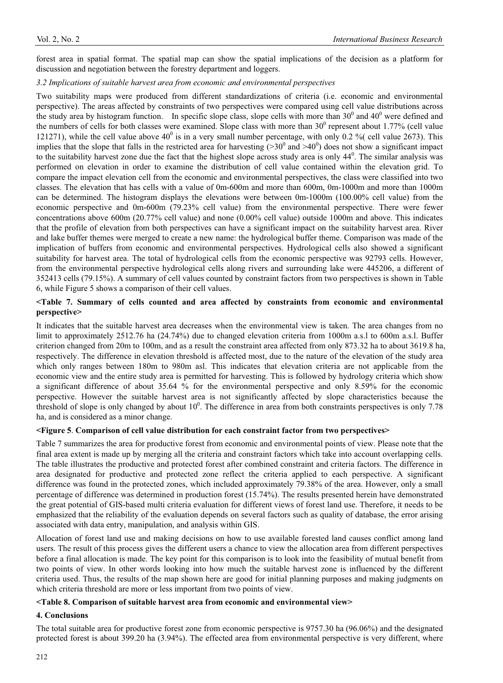forest area in spatial format. The spatial map can show the spatial implications of the decision as a platform for discussion and negotiation between the forestry department and loggers.

### *3.2 Implications of suitable harvest area from economic and environmental perspectives*

Two suitability maps were produced from different standardizations of criteria (i.e. economic and environmental perspective). The areas affected by constraints of two perspectives were compared using cell value distributions across the study area by histogram function. In specific slope class, slope cells with more than  $30^0$  and  $40^0$  were defined and the numbers of cells for both classes were examined. Slope class with more than  $30^0$  represent about 1.77% (cell value 121271), while the cell value above  $40^0$  is in a very small number percentage, with only 0.2 % (cell value 2673). This implies that the slope that falls in the restricted area for harvesting  $(>30^0$  and  $>40^0)$  does not show a significant impact to the suitability harvest zone due the fact that the highest slope across study area is only  $44^0$ . The similar analysis was performed on elevation in order to examine the distribution of cell value contained within the elevation grid. To compare the impact elevation cell from the economic and environmental perspectives, the class were classified into two classes. The elevation that has cells with a value of 0m-600m and more than 600m, 0m-1000m and more than 1000m can be determined. The histogram displays the elevations were between 0m-1000m (100.00% cell value) from the economic perspective and 0m-600m (79.23% cell value) from the environmental perspective. There were fewer concentrations above 600m (20.77% cell value) and none (0.00% cell value) outside 1000m and above. This indicates that the profile of elevation from both perspectives can have a significant impact on the suitability harvest area. River and lake buffer themes were merged to create a new name: the hydrological buffer theme. Comparison was made of the implication of buffers from economic and environmental perspectives. Hydrological cells also showed a significant suitability for harvest area. The total of hydrological cells from the economic perspective was 92793 cells. However, from the environmental perspective hydrological cells along rivers and surrounding lake were 445206, a different of 352413 cells (79.15%). A summary of cell values counted by constraint factors from two perspectives is shown in Table 6, while Figure 5 shows a comparison of their cell values.

## **<Table 7. Summary of cells counted and area affected by constraints from economic and environmental perspective>**

It indicates that the suitable harvest area decreases when the environmental view is taken. The area changes from no limit to approximately 2512.76 ha (24.74%) due to changed elevation criteria from 1000m a.s.l to 600m a.s.l. Buffer criterion changed from 20m to 100m, and as a result the constraint area affected from only 873.32 ha to about 3619.8 ha, respectively. The difference in elevation threshold is affected most, due to the nature of the elevation of the study area which only ranges between 180m to 980m asl. This indicates that elevation criteria are not applicable from the economic view and the entire study area is permitted for harvesting. This is followed by hydrology criteria which show a significant difference of about 35.64 % for the environmental perspective and only 8.59% for the economic perspective. However the suitable harvest area is not significantly affected by slope characteristics because the threshold of slope is only changed by about  $10^0$ . The difference in area from both constraints perspectives is only 7.78 ha, and is considered as a minor change.

## **<Figure 5**. **Comparison of cell value distribution for each constraint factor from two perspectives>**

Table 7 summarizes the area for productive forest from economic and environmental points of view. Please note that the final area extent is made up by merging all the criteria and constraint factors which take into account overlapping cells. The table illustrates the productive and protected forest after combined constraint and criteria factors. The difference in area designated for productive and protected zone reflect the criteria applied to each perspective. A significant difference was found in the protected zones, which included approximately 79.38% of the area. However, only a small percentage of difference was determined in production forest (15.74%). The results presented herein have demonstrated the great potential of GIS-based multi criteria evaluation for different views of forest land use. Therefore, it needs to be emphasized that the reliability of the evaluation depends on several factors such as quality of database, the error arising associated with data entry, manipulation, and analysis within GIS.

Allocation of forest land use and making decisions on how to use available forested land causes conflict among land users. The result of this process gives the different users a chance to view the allocation area from different perspectives before a final allocation is made. The key point for this comparison is to look into the feasibility of mutual benefit from two points of view. In other words looking into how much the suitable harvest zone is influenced by the different criteria used. Thus, the results of the map shown here are good for initial planning purposes and making judgments on which criteria threshold are more or less important from two points of view.

### **<Table 8. Comparison of suitable harvest area from economic and environmental view>**

### **4. Conclusions**

The total suitable area for productive forest zone from economic perspective is 9757.30 ha (96.06%) and the designated protected forest is about 399.20 ha (3.94%). The effected area from environmental perspective is very different, where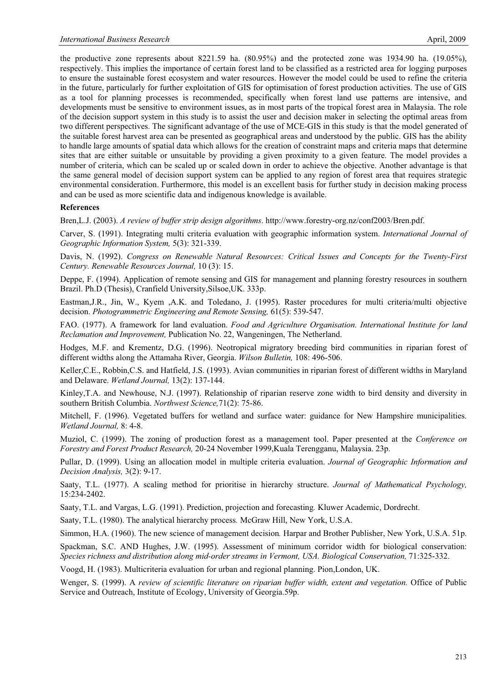the productive zone represents about 8221.59 ha. (80.95%) and the protected zone was 1934.90 ha. (19.05%), respectively. This implies the importance of certain forest land to be classified as a restricted area for logging purposes to ensure the sustainable forest ecosystem and water resources. However the model could be used to refine the criteria in the future, particularly for further exploitation of GIS for optimisation of forest production activities. The use of GIS as a tool for planning processes is recommended, specifically when forest land use patterns are intensive, and developments must be sensitive to environment issues, as in most parts of the tropical forest area in Malaysia. The role of the decision support system in this study is to assist the user and decision maker in selecting the optimal areas from two different perspectives. The significant advantage of the use of MCE-GIS in this study is that the model generated of the suitable forest harvest area can be presented as geographical areas and understood by the public. GIS has the ability to handle large amounts of spatial data which allows for the creation of constraint maps and criteria maps that determine sites that are either suitable or unsuitable by providing a given proximity to a given feature. The model provides a number of criteria, which can be scaled up or scaled down in order to achieve the objective. Another advantage is that the same general model of decision support system can be applied to any region of forest area that requires strategic environmental consideration. Furthermore, this model is an excellent basis for further study in decision making process and can be used as more scientific data and indigenous knowledge is available.

#### **References**

Bren,L.J. (2003). *A review of buffer strip design algorithms*. http://www.forestry-org.nz/conf2003/Bren.pdf.

Carver, S. (1991). Integrating multi criteria evaluation with geographic information system. *International Journal of Geographic Information System,* 5(3): 321-339.

Davis, N. (1992). *Congress on Renewable Natural Resources: Critical Issues and Concepts for the Twenty-First Century. Renewable Resources Journal,* 10 (3): 15.

Deppe, F. (1994). Application of remote sensing and GIS for management and planning forestry resources in southern Brazil. Ph.D (Thesis), Cranfield University,Silsoe,UK. 333p.

Eastman,J.R., Jin, W., Kyem ,A.K. and Toledano, J. (1995). Raster procedures for multi criteria/multi objective decision. *Photogrammetric Engineering and Remote Sensing,* 61(5): 539-547.

FAO. (1977). A framework for land evaluation. *Food and Agriculture Organisation. International Institute for land Reclamation and Improvement,* Publication No. 22, Wangeningen, The Netherland.

Hodges, M.F. and Krementz, D.G. (1996). Neotropical migratory breeding bird communities in riparian forest of different widths along the Attamaha River, Georgia. *Wilson Bulletin,* 108: 496-506.

Keller,C.E., Robbin,C.S. and Hatfield, J.S. (1993). Avian communities in riparian forest of different widths in Maryland and Delaware. *Wetland Journal,* 13(2): 137-144.

Kinley,T.A. and Newhouse, N.J. (1997). Relationship of riparian reserve zone width to bird density and diversity in southern British Columbia. *Northwest Science,*71(2): 75-86.

Mitchell, F. (1996). Vegetated buffers for wetland and surface water: guidance for New Hampshire municipalities. *Wetland Journal,* 8: 4-8.

Muziol, C. (1999). The zoning of production forest as a management tool. Paper presented at the *Conference on Forestry and Forest Product Research,* 20-24 November 1999,Kuala Terengganu, Malaysia. 23p.

Pullar, D. (1999). Using an allocation model in multiple criteria evaluation. *Journal of Geographic Information and Decision Analysis,* 3(2): 9-17.

Saaty, T.L. (1977). A scaling method for prioritise in hierarchy structure. *Journal of Mathematical Psychology,*  15:234-2402.

Saaty, T.L. and Vargas, L.G. (1991). Prediction, projection and forecasting*.* Kluwer Academic, Dordrecht.

Saaty, T.L. (1980). The analytical hierarchy process*.* McGraw Hill, New York, U.S.A.

Simmon, H.A. (1960). The new science of management decision*.* Harpar and Brother Publisher, New York, U.S.A. 51p.

Spackman, S.C. AND Hughes, J.W. (1995). Assessment of minimum corridor width for biological conservation: *Species richness and distribution along mid-order streams in Vermont, USA. Biological Conservation,* 71:325-332.

Voogd, H. (1983). Multicriteria evaluation for urban and regional planning. Pion,London, UK.

Wenger, S. (1999). A *review of scientific literature on riparian buffer width, extent and vegetation.* Office of Public Service and Outreach, Institute of Ecology, University of Georgia.59p.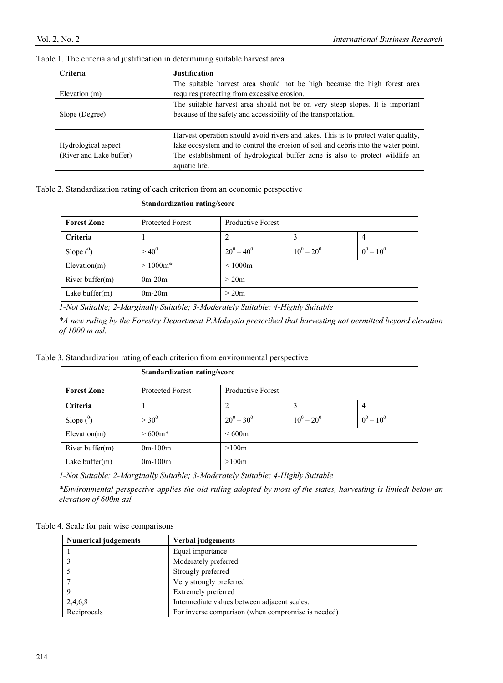| Criteria                | <b>Justification</b>                                                               |
|-------------------------|------------------------------------------------------------------------------------|
|                         | The suitable harvest area should not be high because the high forest area          |
| Elevation (m)           | requires protecting from excessive erosion.                                        |
|                         | The suitable harvest area should not be on very steep slopes. It is important      |
| Slope (Degree)          | because of the safety and accessibility of the transportation.                     |
|                         |                                                                                    |
|                         | Harvest operation should avoid rivers and lakes. This is to protect water quality, |
| Hydrological aspect     | lake ecosystem and to control the erosion of soil and debris into the water point. |
| (River and Lake buffer) | The establishment of hydrological buffer zone is also to protect wildlife an       |
|                         | aquatic life.                                                                      |

Table 1. The criteria and justification in determining suitable harvest area

## Table 2. Standardization rating of each criterion from an economic perspective

|                    | <b>Standardization rating/score</b> |                          |               |              |  |
|--------------------|-------------------------------------|--------------------------|---------------|--------------|--|
| <b>Forest Zone</b> | <b>Protected Forest</b>             | <b>Productive Forest</b> |               |              |  |
| Criteria           |                                     | 2                        | 3             | 4            |  |
| Slope $(^0)$       | $> 40^{0}$                          | $20^0 - 40^0$            | $10^0 - 20^0$ | $0^0 - 10^0$ |  |
| Elevation(m)       | $>1000m*$                           | < 1000m                  |               |              |  |
| River buffer $(m)$ | $0m-20m$                            | > 20m                    |               |              |  |
| Lake buffer $(m)$  | $0m-20m$                            | >20m                     |               |              |  |

*1-Not Suitable; 2-Marginally Suitable; 3-Moderately Suitable; 4-Highly Suitable* 

*\*A new ruling by the Forestry Department P.Malaysia prescribed that harvesting not permitted beyond elevation of 1000 m asl.* 

## Table 3. Standardization rating of each criterion from environmental perspective

|                    | <b>Standardization rating/score</b> |                          |               |              |
|--------------------|-------------------------------------|--------------------------|---------------|--------------|
| <b>Forest Zone</b> | <b>Protected Forest</b>             | <b>Productive Forest</b> |               |              |
| Criteria           |                                     | 2                        | 3             | 4            |
| Slope $(^0)$       | $> 30^{0}$                          | $20^0 - 30^0$            | $10^0 - 20^0$ | $0^0 - 10^0$ |
| Elevation(m)       | $>600m*$                            | <600m                    |               |              |
| River buffer $(m)$ | $0m-100m$                           | >100m                    |               |              |
| Lake buffer $(m)$  | $0m-100m$                           | >100m                    |               |              |

*1-Not Suitable; 2-Marginally Suitable; 3-Moderately Suitable; 4-Highly Suitable* 

*\*Environmental perspective applies the old ruling adopted by most of the states, harvesting is limiedt below an elevation of 600m asl.* 

Table 4. Scale for pair wise comparisons

| <b>Numerical judgements</b> | Verbal judgements                                  |
|-----------------------------|----------------------------------------------------|
|                             | Equal importance                                   |
|                             | Moderately preferred                               |
|                             | Strongly preferred                                 |
|                             | Very strongly preferred                            |
|                             | Extremely preferred                                |
| 2,4,6,8                     | Intermediate values between adjacent scales.       |
| Reciprocals                 | For inverse comparison (when compromise is needed) |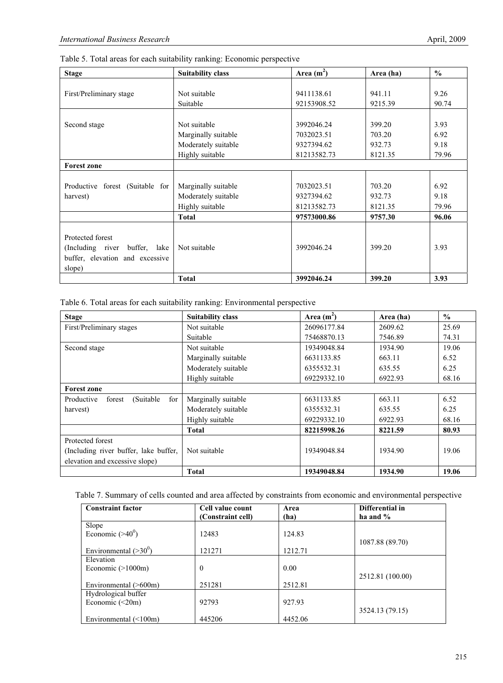| Table 5. Total areas for each suitability ranking: Economic perspective |  |  |  |  |  |  |  |
|-------------------------------------------------------------------------|--|--|--|--|--|--|--|
|-------------------------------------------------------------------------|--|--|--|--|--|--|--|

| <b>Stage</b>                    | <b>Suitability class</b> | Area $(m^2)$ | Area (ha) | $\frac{0}{0}$ |
|---------------------------------|--------------------------|--------------|-----------|---------------|
|                                 |                          |              |           |               |
| First/Preliminary stage         | Not suitable             | 9411138.61   | 941.11    | 9.26          |
|                                 | Suitable                 | 92153908.52  | 9215.39   | 90.74         |
|                                 |                          |              |           |               |
| Second stage                    | Not suitable             | 3992046.24   | 399.20    | 3.93          |
|                                 | Marginally suitable      | 7032023.51   | 703.20    | 6.92          |
|                                 | Moderately suitable      | 9327394.62   | 932.73    | 9.18          |
|                                 | Highly suitable          | 81213582.73  | 8121.35   | 79.96         |
| <b>Forest zone</b>              |                          |              |           |               |
|                                 |                          |              |           |               |
| Productive forest (Suitable for | Marginally suitable      | 7032023.51   | 703.20    | 6.92          |
| harvest)                        | Moderately suitable      | 9327394.62   | 932.73    | 9.18          |
|                                 | Highly suitable          | 81213582.73  | 8121.35   | 79.96         |
|                                 | Total                    | 97573000.86  | 9757.30   | 96.06         |
|                                 |                          |              |           |               |
| Protected forest                |                          |              |           |               |
| (Including river buffer, lake   | Not suitable             | 3992046.24   | 399.20    | 3.93          |
| buffer, elevation and excessive |                          |              |           |               |
| slope)                          |                          |              |           |               |
|                                 | <b>Total</b>             | 3992046.24   | 399.20    | 3.93          |

Table 6. Total areas for each suitability ranking: Environmental perspective

| <b>Stage</b>                              | <b>Suitability class</b> | Area $(m2)$ | Area (ha) | $\frac{0}{0}$ |
|-------------------------------------------|--------------------------|-------------|-----------|---------------|
| First/Preliminary stages                  | Not suitable             | 26096177.84 | 2609.62   | 25.69         |
|                                           | Suitable                 | 75468870.13 | 7546.89   | 74.31         |
| Second stage                              | Not suitable             | 19349048.84 | 1934.90   | 19.06         |
|                                           | Marginally suitable      | 6631133.85  | 663.11    | 6.52          |
|                                           | Moderately suitable      | 6355532.31  | 635.55    | 6.25          |
|                                           | Highly suitable          | 69229332.10 | 6922.93   | 68.16         |
| <b>Forest zone</b>                        |                          |             |           |               |
| for<br>Productive<br>(Suitable)<br>forest | Marginally suitable      | 6631133.85  | 663.11    | 6.52          |
| harvest)                                  | Moderately suitable      | 6355532.31  | 635.55    | 6.25          |
|                                           | Highly suitable          | 69229332.10 | 6922.93   | 68.16         |
|                                           | <b>Total</b>             | 82215998.26 | 8221.59   | 80.93         |
| Protected forest                          |                          |             |           |               |
| (Including river buffer, lake buffer,     | Not suitable             | 19349048.84 | 1934.90   | 19.06         |
| elevation and excessive slope)            |                          |             |           |               |
|                                           | <b>Total</b>             | 19349048.84 | 1934.90   | 19.06         |

| Table 7. Summary of cells counted and area affected by constraints from economic and environmental perspective |  |  |  |  |
|----------------------------------------------------------------------------------------------------------------|--|--|--|--|
|                                                                                                                |  |  |  |  |

| <b>Constraint factor</b>    | Cell value count  | Area    | Differential in  |
|-----------------------------|-------------------|---------|------------------|
|                             | (Constraint cell) | (ha)    | ha and $\%$      |
| Slope                       |                   |         |                  |
| Economic $(>40^0)$          | 12483             | 124.83  |                  |
|                             |                   |         | 1087.88 (89.70)  |
| Environmental $(>30^0)$     | 121271            | 1212.71 |                  |
| Elevation                   |                   |         |                  |
| Economic $(>1000m)$         | $\boldsymbol{0}$  | 0.00    |                  |
|                             |                   |         | 2512.81 (100.00) |
| Environmental (>600m)       | 251281            | 2512.81 |                  |
| Hydrological buffer         |                   |         |                  |
| Economic $(\leq 20m)$       | 92793             | 927.93  |                  |
|                             |                   |         | 3524.13 (79.15)  |
| Environmental $(\leq 100m)$ | 445206            | 4452.06 |                  |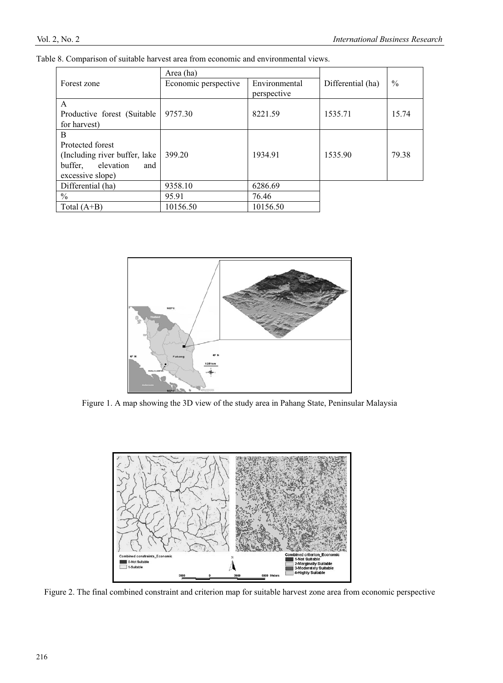|                                | Area (ha)            |               |                   |       |
|--------------------------------|----------------------|---------------|-------------------|-------|
| Forest zone                    | Economic perspective | Environmental | Differential (ha) | $\%$  |
|                                |                      | perspective   |                   |       |
| $\mathsf{A}$                   |                      |               |                   |       |
| Productive forest (Suitable)   | 9757.30              | 8221.59       | 1535.71           | 15.74 |
| for harvest)                   |                      |               |                   |       |
| B                              |                      |               |                   |       |
| Protected forest               |                      |               |                   |       |
| (Including river buffer, lake) | 399.20               | 1934.91       | 1535.90           | 79.38 |
| elevation<br>buffer,<br>and    |                      |               |                   |       |
| excessive slope)               |                      |               |                   |       |
| Differential (ha)              | 9358.10              | 6286.69       |                   |       |
| $\frac{0}{0}$                  | 95.91                | 76.46         |                   |       |
| Total $(A+B)$                  | 10156.50             | 10156.50      |                   |       |

Table 8. Comparison of suitable harvest area from economic and environmental views.



Figure 1. A map showing the 3D view of the study area in Pahang State, Peninsular Malaysia



Figure 2. The final combined constraint and criterion map for suitable harvest zone area from economic perspective